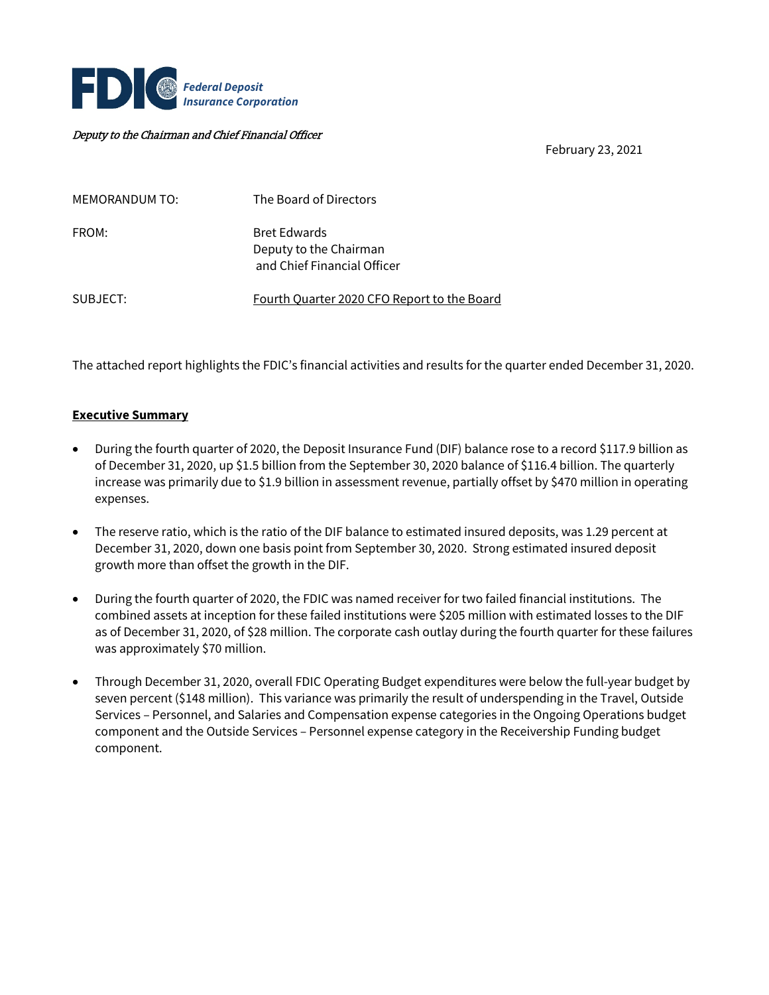

#### Deputy to the Chairman and Chief Financial Officer

February 23, 2021

| <b>MEMORANDUM TO:</b> | The Board of Directors                                                       |
|-----------------------|------------------------------------------------------------------------------|
| FROM:                 | <b>Bret Edwards</b><br>Deputy to the Chairman<br>and Chief Financial Officer |
| SUBJECT:              | Fourth Quarter 2020 CFO Report to the Board                                  |

The attached report highlights the FDIC's financial activities and results for the quarter ended December 31, 2020.

#### **Executive Summary**

- During the fourth quarter of 2020, the Deposit Insurance Fund (DIF) balance rose to a record \$117.9 billion as of December 31, 2020, up \$1.5 billion from the September 30, 2020 balance of \$116.4 billion. The quarterly increase was primarily due to \$1.9 billion in assessment revenue, partially offset by \$470 million in operating expenses.
- The reserve ratio, which is the ratio of the DIF balance to estimated insured deposits, was 1.29 percent at December 31, 2020, down one basis point from September 30, 2020. Strong estimated insured deposit growth more than offset the growth in the DIF.
- During the fourth quarter of 2020, the FDIC was named receiver for two failed financial institutions. The combined assets at inception for these failed institutions were \$205 million with estimated losses to the DIF as of December 31, 2020, of \$28 million. The corporate cash outlay during the fourth quarter for these failures was approximately \$70 million.
- Through December 31, 2020, overall FDIC Operating Budget expenditures were below the full-year budget by seven percent (\$148 million). This variance was primarily the result of underspending in the Travel, Outside Services – Personnel, and Salaries and Compensation expense categories in the Ongoing Operations budget component and the Outside Services – Personnel expense category in the Receivership Funding budget component.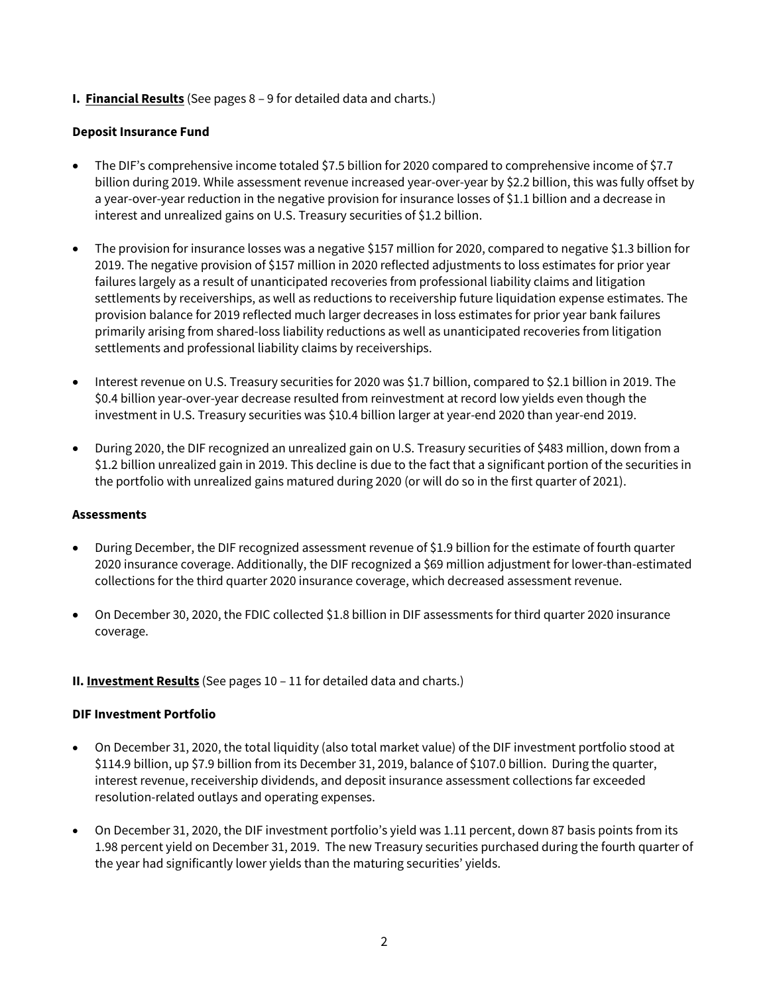**I. Financial Results** (See pages 8 – 9 for detailed data and charts.)

## **Deposit Insurance Fund**

- The DIF's comprehensive income totaled \$7.5 billion for 2020 compared to comprehensive income of \$7.7 billion during 2019. While assessment revenue increased year-over-year by \$2.2 billion, this was fully offset by a year-over-year reduction in the negative provision for insurance losses of \$1.1 billion and a decrease in interest and unrealized gains on U.S. Treasury securities of \$1.2 billion.
- The provision for insurance losses was a negative \$157 million for 2020, compared to negative \$1.3 billion for 2019. The negative provision of \$157 million in 2020 reflected adjustments to loss estimates for prior year failures largely as a result of unanticipated recoveries from professional liability claims and litigation settlements by receiverships, as well as reductions to receivership future liquidation expense estimates. The provision balance for 2019 reflected much larger decreases in loss estimates for prior year bank failures primarily arising from shared-loss liability reductions as well as unanticipated recoveries from litigation settlements and professional liability claims by receiverships.
- Interest revenue on U.S. Treasury securities for 2020 was \$1.7 billion, compared to \$2.1 billion in 2019. The \$0.4 billion year-over-year decrease resulted from reinvestment at record low yields even though the investment in U.S. Treasury securities was \$10.4 billion larger at year-end 2020 than year-end 2019.
- During 2020, the DIF recognized an unrealized gain on U.S. Treasury securities of \$483 million, down from a \$1.2 billion unrealized gain in 2019. This decline is due to the fact that a significant portion of the securities in the portfolio with unrealized gains matured during 2020 (or will do so in the first quarter of 2021).

#### **Assessments**

- During December, the DIF recognized assessment revenue of \$1.9 billion for the estimate of fourth quarter 2020 insurance coverage. Additionally, the DIF recognized a \$69 million adjustment for lower-than-estimated collections for the third quarter 2020 insurance coverage, which decreased assessment revenue.
- On December 30, 2020, the FDIC collected \$1.8 billion in DIF assessments for third quarter 2020 insurance coverage.

## **II. Investment Results** (See pages 10 – 11 for detailed data and charts.)

#### **DIF Investment Portfolio**

- On December 31, 2020, the total liquidity (also total market value) of the DIF investment portfolio stood at \$114.9 billion, up \$7.9 billion from its December 31, 2019, balance of \$107.0 billion. During the quarter, interest revenue, receivership dividends, and deposit insurance assessment collections far exceeded resolution-related outlays and operating expenses.
- On December 31, 2020, the DIF investment portfolio's yield was 1.11 percent, down 87 basis points from its 1.98 percent yield on December 31, 2019. The new Treasury securities purchased during the fourth quarter of the year had significantly lower yields than the maturing securities' yields.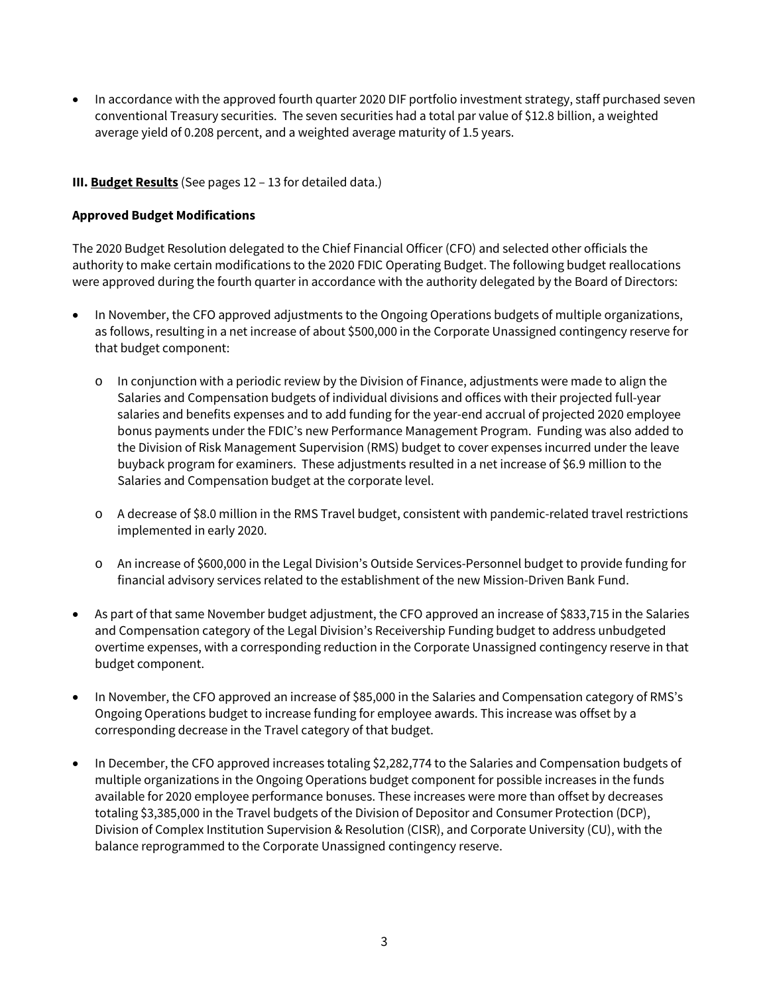• In accordance with the approved fourth quarter 2020 DIF portfolio investment strategy, staff purchased seven conventional Treasury securities. The seven securities had a total par value of \$12.8 billion, a weighted average yield of 0.208 percent, and a weighted average maturity of 1.5 years.

## **III. Budget Results** (See pages 12 – 13 for detailed data.)

#### **Approved Budget Modifications**

The 2020 Budget Resolution delegated to the Chief Financial Officer (CFO) and selected other officials the authority to make certain modifications to the 2020 FDIC Operating Budget. The following budget reallocations were approved during the fourth quarter in accordance with the authority delegated by the Board of Directors:

- In November, the CFO approved adjustments to the Ongoing Operations budgets of multiple organizations, as follows, resulting in a net increase of about \$500,000 in the Corporate Unassigned contingency reserve for that budget component:
	- $\circ$  In conjunction with a periodic review by the Division of Finance, adjustments were made to align the Salaries and Compensation budgets of individual divisions and offices with their projected full-year salaries and benefits expenses and to add funding for the year-end accrual of projected 2020 employee bonus payments under the FDIC's new Performance Management Program. Funding was also added to the Division of Risk Management Supervision (RMS) budget to cover expenses incurred under the leave buyback program for examiners. These adjustments resulted in a net increase of \$6.9 million to the Salaries and Compensation budget at the corporate level.
	- o A decrease of \$8.0 million in the RMS Travel budget, consistent with pandemic-related travel restrictions implemented in early 2020.
	- o An increase of \$600,000 in the Legal Division's Outside Services-Personnel budget to provide funding for financial advisory services related to the establishment of the new Mission-Driven Bank Fund.
- As part of that same November budget adjustment, the CFO approved an increase of \$833,715 in the Salaries and Compensation category of the Legal Division's Receivership Funding budget to address unbudgeted overtime expenses, with a corresponding reduction in the Corporate Unassigned contingency reserve in that budget component.
- In November, the CFO approved an increase of \$85,000 in the Salaries and Compensation category of RMS's Ongoing Operations budget to increase funding for employee awards. This increase was offset by a corresponding decrease in the Travel category of that budget.
- In December, the CFO approved increases totaling \$2,282,774 to the Salaries and Compensation budgets of multiple organizations in the Ongoing Operations budget component for possible increases in the funds available for 2020 employee performance bonuses. These increases were more than offset by decreases totaling \$3,385,000 in the Travel budgets of the Division of Depositor and Consumer Protection (DCP), Division of Complex Institution Supervision & Resolution (CISR), and Corporate University (CU), with the balance reprogrammed to the Corporate Unassigned contingency reserve.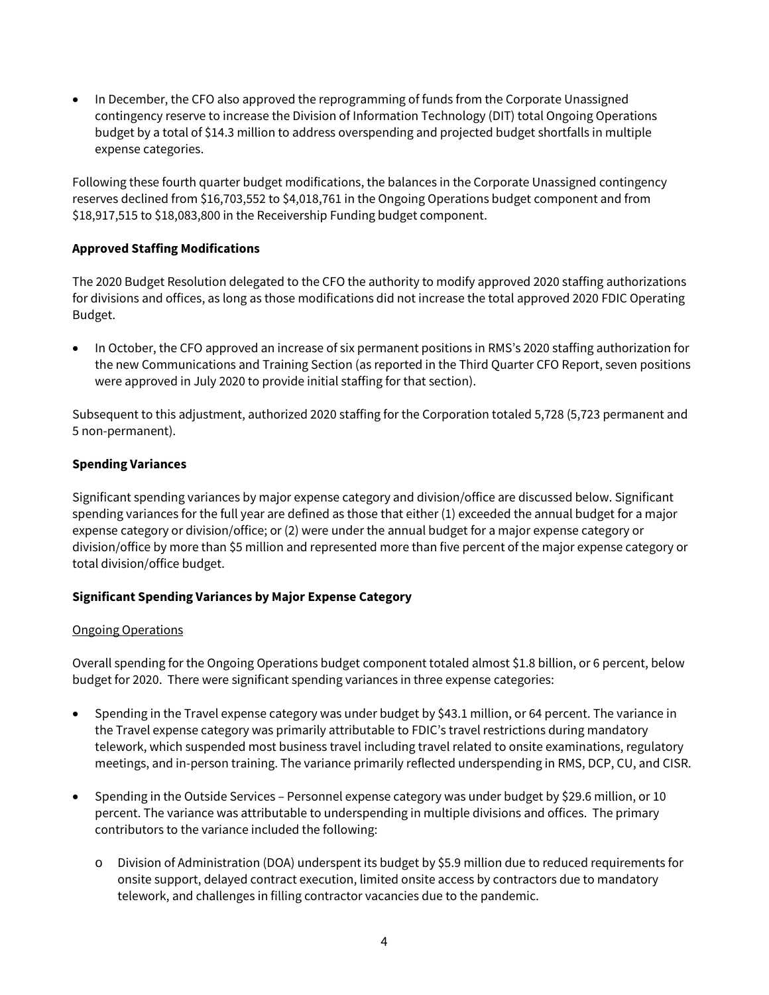• In December, the CFO also approved the reprogramming of funds from the Corporate Unassigned contingency reserve to increase the Division of Information Technology (DIT) total Ongoing Operations budget by a total of \$14.3 million to address overspending and projected budget shortfalls in multiple expense categories.

Following these fourth quarter budget modifications, the balances in the Corporate Unassigned contingency reserves declined from \$16,703,552 to \$4,018,761 in the Ongoing Operations budget component and from \$18,917,515 to \$18,083,800 in the Receivership Funding budget component.

## **Approved Staffing Modifications**

The 2020 Budget Resolution delegated to the CFO the authority to modify approved 2020 staffing authorizations for divisions and offices, as long as those modifications did not increase the total approved 2020 FDIC Operating Budget.

• In October, the CFO approved an increase of six permanent positions in RMS's 2020 staffing authorization for the new Communications and Training Section (as reported in the Third Quarter CFO Report, seven positions were approved in July 2020 to provide initial staffing for that section).

Subsequent to this adjustment, authorized 2020 staffing for the Corporation totaled 5,728 (5,723 permanent and 5 non-permanent).

## **Spending Variances**

Significant spending variances by major expense category and division/office are discussed below. Significant spending variances for the full year are defined as those that either (1) exceeded the annual budget for a major expense category or division/office; or (2) were under the annual budget for a major expense category or division/office by more than \$5 million and represented more than five percent of the major expense category or total division/office budget.

## **Significant Spending Variances by Major Expense Category**

#### Ongoing Operations

Overall spending for the Ongoing Operations budget component totaled almost \$1.8 billion, or 6 percent, below budget for 2020. There were significant spending variances in three expense categories:

- Spending in the Travel expense category was under budget by \$43.1 million, or 64 percent. The variance in the Travel expense category was primarily attributable to FDIC's travel restrictions during mandatory telework, which suspended most business travel including travel related to onsite examinations, regulatory meetings, and in-person training. The variance primarily reflected underspending in RMS, DCP, CU, and CISR.
- Spending in the Outside Services Personnel expense category was under budget by \$29.6 million, or 10 percent. The variance was attributable to underspending in multiple divisions and offices. The primary contributors to the variance included the following:
	- o Division of Administration (DOA) underspent its budget by \$5.9 million due to reduced requirements for onsite support, delayed contract execution, limited onsite access by contractors due to mandatory telework, and challenges in filling contractor vacancies due to the pandemic.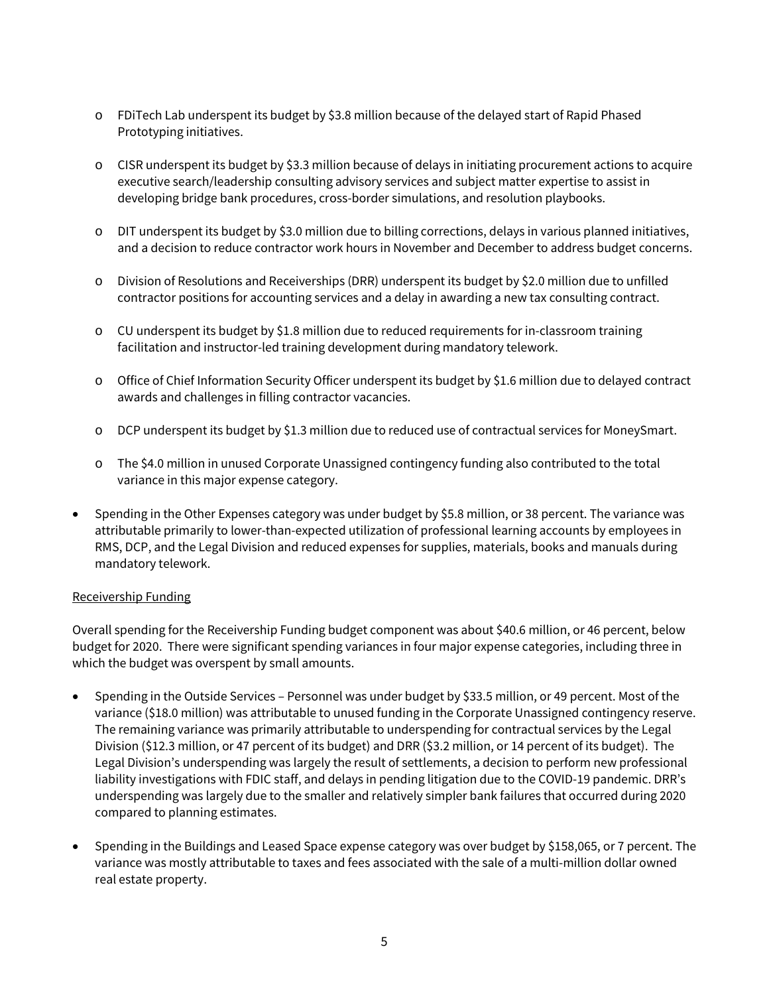- o FDiTech Lab underspent its budget by \$3.8 million because of the delayed start of Rapid Phased Prototyping initiatives.
- o CISR underspent its budget by \$3.3 million because of delays in initiating procurement actions to acquire executive search/leadership consulting advisory services and subject matter expertise to assist in developing bridge bank procedures, cross-border simulations, and resolution playbooks.
- o DIT underspent its budget by \$3.0 million due to billing corrections, delays in various planned initiatives, and a decision to reduce contractor work hours in November and December to address budget concerns.
- o Division of Resolutions and Receiverships (DRR) underspent its budget by \$2.0 million due to unfilled contractor positions for accounting services and a delay in awarding a new tax consulting contract.
- o CU underspent its budget by \$1.8 million due to reduced requirements for in-classroom training facilitation and instructor-led training development during mandatory telework.
- o Office of Chief Information Security Officer underspent its budget by \$1.6 million due to delayed contract awards and challenges in filling contractor vacancies.
- o DCP underspent its budget by \$1.3 million due to reduced use of contractual services for MoneySmart.
- o The \$4.0 million in unused Corporate Unassigned contingency funding also contributed to the total variance in this major expense category.
- Spending in the Other Expenses category was under budget by \$5.8 million, or 38 percent. The variance was attributable primarily to lower-than-expected utilization of professional learning accounts by employees in RMS, DCP, and the Legal Division and reduced expenses for supplies, materials, books and manuals during mandatory telework.

#### Receivership Funding

Overall spending for the Receivership Funding budget component was about \$40.6 million, or 46 percent, below budget for 2020. There were significant spending variances in four major expense categories, including three in which the budget was overspent by small amounts.

- Spending in the Outside Services Personnel was under budget by \$33.5 million, or 49 percent. Most of the variance (\$18.0 million) was attributable to unused funding in the Corporate Unassigned contingency reserve. The remaining variance was primarily attributable to underspending for contractual services by the Legal Division (\$12.3 million, or 47 percent of its budget) and DRR (\$3.2 million, or 14 percent of its budget). The Legal Division's underspending was largely the result of settlements, a decision to perform new professional liability investigations with FDIC staff, and delays in pending litigation due to the COVID-19 pandemic. DRR's underspending was largely due to the smaller and relatively simpler bank failures that occurred during 2020 compared to planning estimates.
- Spending in the Buildings and Leased Space expense category was over budget by \$158,065, or 7 percent. The variance was mostly attributable to taxes and fees associated with the sale of a multi-million dollar owned real estate property.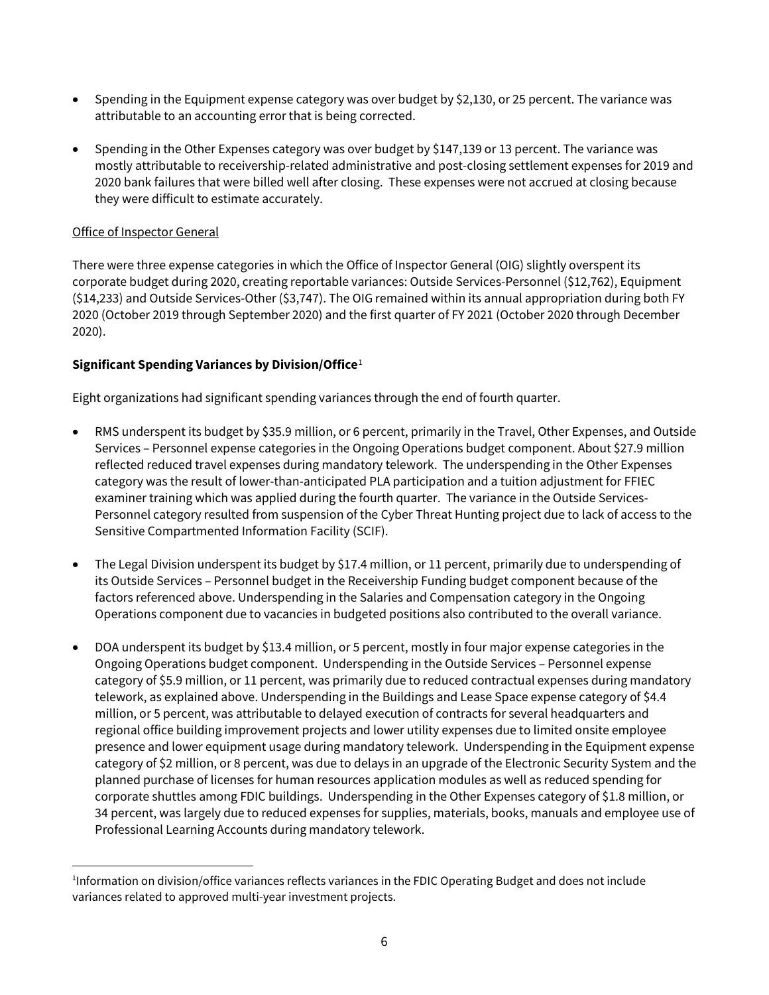- Spending in the Equipment expense category was over budget by \$2,130, or 25 percent. The variance was attributable to an accounting error that is being corrected.
- Spending in the Other Expenses category was over budget by \$147,139 or 13 percent. The variance was mostly attributable to receivership-related administrative and post-closing settlement expenses for 2019 and 2020 bank failures that were billed well after closing. These expenses were not accrued at closing because they were difficult to estimate accurately.

## Office of Inspector General

 $\overline{a}$ 

There were three expense categories in which the Office of Inspector General (OIG) slightly overspent its corporate budget during 2020, creating reportable variances: Outside Services-Personnel (\$12,762), Equipment (\$14,233) and Outside Services-Other (\$3,747). The OIG remained within its annual appropriation during both FY 2020 (October 2019 through September 2020) and the first quarter of FY 2021 (October 2020 through December 2020).

## **Significant Spending Variances by Division/Office**[1](#page-5-0)

Eight organizations had significant spending variances through the end of fourth quarter.

- RMS underspent its budget by \$35.9 million, or 6 percent, primarily in the Travel, Other Expenses, and Outside Services – Personnel expense categories in the Ongoing Operations budget component. About \$27.9 million reflected reduced travel expenses during mandatory telework. The underspending in the Other Expenses category was the result of lower-than-anticipated PLA participation and a tuition adjustment for FFIEC examiner training which was applied during the fourth quarter. The variance in the Outside Services-Personnel category resulted from suspension of the Cyber Threat Hunting project due to lack of access to the Sensitive Compartmented Information Facility (SCIF).
- The Legal Division underspent its budget by \$17.4 million, or 11 percent, primarily due to underspending of its Outside Services – Personnel budget in the Receivership Funding budget component because of the factors referenced above. Underspending in the Salaries and Compensation category in the Ongoing Operations component due to vacancies in budgeted positions also contributed to the overall variance.
- DOA underspent its budget by \$13.4 million, or 5 percent, mostly in four major expense categories in the Ongoing Operations budget component. Underspending in the Outside Services – Personnel expense category of \$5.9 million, or 11 percent, was primarily due to reduced contractual expenses during mandatory telework, as explained above. Underspending in the Buildings and Lease Space expense category of \$4.4 million, or 5 percent, was attributable to delayed execution of contracts for several headquarters and regional office building improvement projects and lower utility expenses due to limited onsite employee presence and lower equipment usage during mandatory telework. Underspending in the Equipment expense category of \$2 million, or 8 percent, was due to delays in an upgrade of the Electronic Security System and the planned purchase of licenses for human resources application modules as well as reduced spending for corporate shuttles among FDIC buildings. Underspending in the Other Expenses category of \$1.8 million, or 34 percent, was largely due to reduced expenses for supplies, materials, books, manuals and employee use of Professional Learning Accounts during mandatory telework.

<span id="page-5-0"></span><sup>1</sup> Information on division/office variances reflects variances in the FDIC Operating Budget and does not include variances related to approved multi-year investment projects.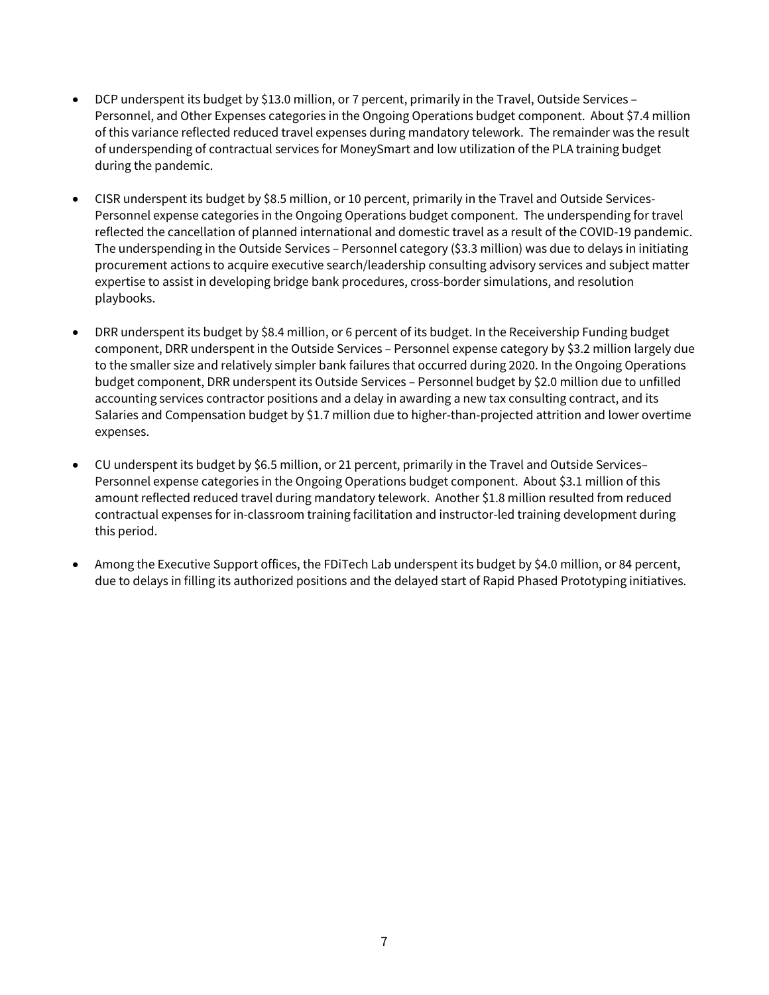- DCP underspent its budget by \$13.0 million, or 7 percent, primarily in the Travel, Outside Services Personnel, and Other Expenses categories in the Ongoing Operations budget component. About \$7.4 million of this variance reflected reduced travel expenses during mandatory telework. The remainder was the result of underspending of contractual services for MoneySmart and low utilization of the PLA training budget during the pandemic.
- CISR underspent its budget by \$8.5 million, or 10 percent, primarily in the Travel and Outside Services-Personnel expense categories in the Ongoing Operations budget component. The underspending for travel reflected the cancellation of planned international and domestic travel as a result of the COVID-19 pandemic. The underspending in the Outside Services – Personnel category (\$3.3 million) was due to delays in initiating procurement actions to acquire executive search/leadership consulting advisory services and subject matter expertise to assist in developing bridge bank procedures, cross-border simulations, and resolution playbooks.
- DRR underspent its budget by \$8.4 million, or 6 percent of its budget. In the Receivership Funding budget component, DRR underspent in the Outside Services – Personnel expense category by \$3.2 million largely due to the smaller size and relatively simpler bank failures that occurred during 2020. In the Ongoing Operations budget component, DRR underspent its Outside Services – Personnel budget by \$2.0 million due to unfilled accounting services contractor positions and a delay in awarding a new tax consulting contract, and its Salaries and Compensation budget by \$1.7 million due to higher-than-projected attrition and lower overtime expenses.
- CU underspent its budget by \$6.5 million, or 21 percent, primarily in the Travel and Outside Services– Personnel expense categories in the Ongoing Operations budget component. About \$3.1 million of this amount reflected reduced travel during mandatory telework. Another \$1.8 million resulted from reduced contractual expenses for in-classroom training facilitation and instructor-led training development during this period.
- Among the Executive Support offices, the FDiTech Lab underspent its budget by \$4.0 million, or 84 percent, due to delays in filling its authorized positions and the delayed start of Rapid Phased Prototyping initiatives.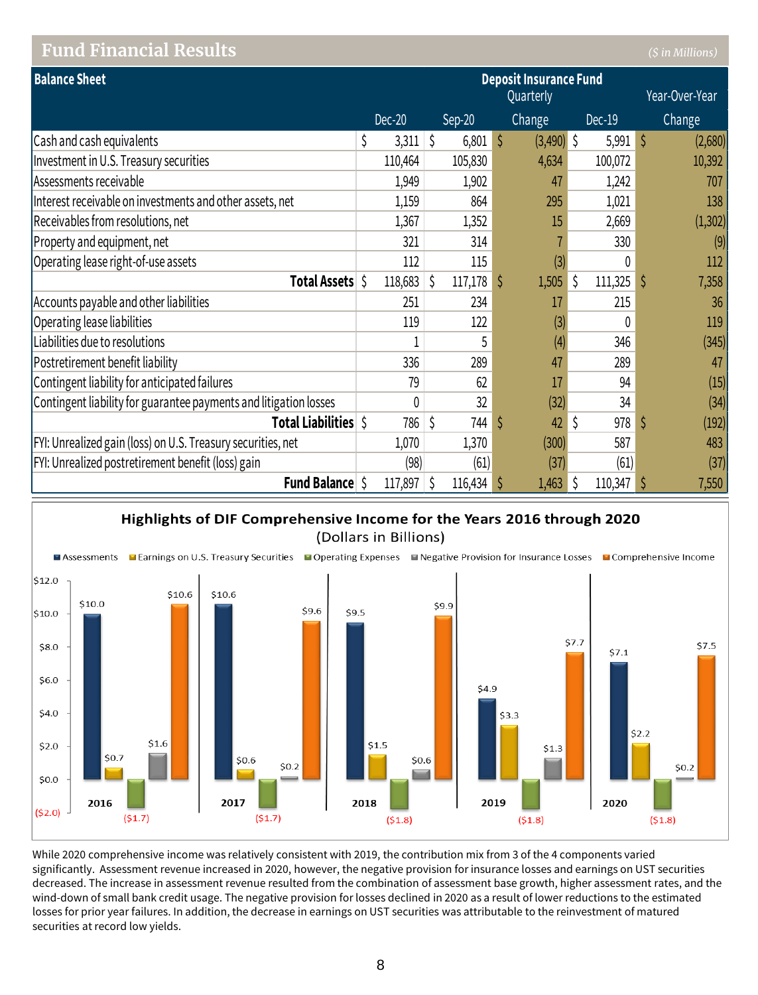## **Fund Financial Results** *(\$ in Millions)*

| <b>Balance Sheet</b>                                              |             |           |          |              | <b>Deposit Insurance Fund</b> |   |          |   |                |
|-------------------------------------------------------------------|-------------|-----------|----------|--------------|-------------------------------|---|----------|---|----------------|
|                                                                   |             | Quarterly |          |              |                               |   |          |   | Year-Over-Year |
|                                                                   | Dec-20      |           | $Sep-20$ |              | Change                        |   | $Dec-19$ |   | Change         |
| Cash and cash equivalents                                         | \$<br>3,311 | \$        | 6,801    | <sup>5</sup> | $(3,490)$ \$                  |   | 5,991    | Ś | (2,680)        |
| Investment in U.S. Treasury securities                            | 110,464     |           | 105,830  |              | 4,634                         |   | 100,072  |   | 10,392         |
| Assessments receivable                                            | 1,949       |           | 1,902    |              | 47                            |   | 1,242    |   | 707            |
| Interest receivable on investments and other assets, net          | 1,159       |           | 864      |              | 295                           |   | 1,021    |   | 138            |
| Receivables from resolutions, net                                 | 1,367       |           | 1,352    |              | 15                            |   | 2,669    |   | (1, 302)       |
| Property and equipment, net                                       | 321         |           | 314      |              |                               |   | 330      |   | (9)            |
| Operating lease right-of-use assets                               | 112         |           | 115      |              | (3)                           |   | 0        |   | 112            |
| Total Assets \$                                                   | 118,683     | \$.       | 117,178  | S            | 1,505                         |   | 111,325  |   | 7,358          |
| Accounts payable and other liabilities                            | 251         |           | 234      |              | 17                            |   | 215      |   | 36             |
| Operating lease liabilities                                       | 119         |           | 122      |              | (3)                           |   | 0        |   | 119            |
| Liabilities due to resolutions                                    |             |           | 5        |              | (4)                           |   | 346      |   | (345)          |
| Postretirement benefit liability                                  | 336         |           | 289      |              | 47                            |   | 289      |   | 47             |
| Contingent liability for anticipated failures                     | 79          |           | 62       |              | 17                            |   | 94       |   | (15)           |
| Contingent liability for guarantee payments and litigation losses | 0           |           | 32       |              | (32)                          |   | 34       |   | (34)           |
| Total Liabilities \$                                              | 786         | \$        | 744      | S            | 42                            | Ŝ | 978      |   | (192)          |
| FYI: Unrealized gain (loss) on U.S. Treasury securities, net      | 1,070       |           | 1,370    |              | (300)                         |   | 587      |   | 483            |
| FYI: Unrealized postretirement benefit (loss) gain                | (98)        |           | (61)     |              | (37)                          |   | (61)     |   | (37)           |
| <b>Fund Balance</b>                                               | 117,897     | \$        | 116,434  | S            | 1,463                         |   | 110,347  |   | 7,550          |





While 2020 comprehensive income was relatively consistent with 2019, the contribution mix from 3 of the 4 components varied significantly. Assessment revenue increased in 2020, however, the negative provision for insurance losses and earnings on UST securities decreased. The increase in assessment revenue resulted from the combination of assessment base growth, higher assessment rates, and the wind-down of small bank credit usage. The negative provision for losses declined in 2020 as a result of lower reductions to the estimated losses for prior year failures. In addition, the decrease in earnings on UST securities was attributable to the reinvestment of matured securities at record low yields.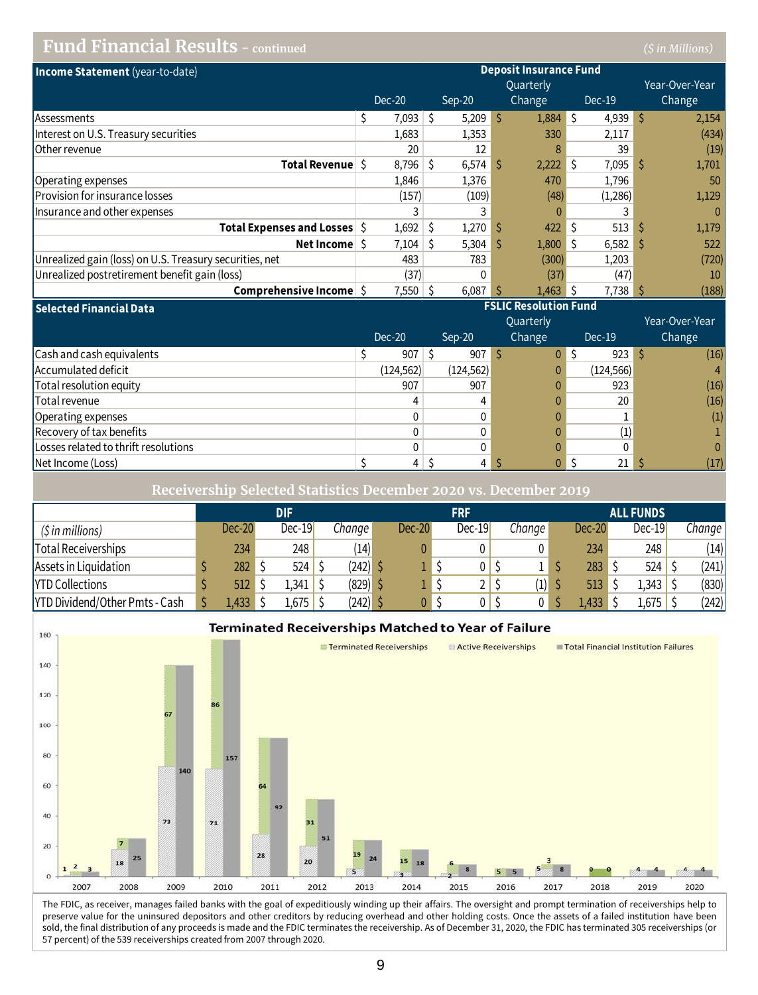# **Fund Financial Results - continued** *(\$ in Millions)*

| Income Statement (year-to-date)                         |    |        |   |        |    | <b>Deposit Insurance Fund</b> |     |                                 |                |
|---------------------------------------------------------|----|--------|---|--------|----|-------------------------------|-----|---------------------------------|----------------|
|                                                         |    |        |   |        |    | <b>Quarterly</b>              |     |                                 | Year-Over-Year |
|                                                         |    | Dec-20 |   | Sep-20 |    | Change                        |     | Dec-19                          | Change         |
| <b>Assessments</b>                                      | S. | 7,093  | S | 5,209  | Ŝ  | $1,884$ \$                    |     | $4,939$ \$                      | 2,154          |
| Interest on U.S. Treasury securities                    |    | 1,683  |   | 1,353  |    | 330                           |     | 2,117                           | (434)          |
| Other revenue                                           |    | 20     |   | 12     |    |                               |     | 39                              | (19)           |
| Total Revenue S                                         |    | 8,796  | Ŝ | 6,574  | -S | 2,222                         | -S  | 7,095                           | 1,701          |
| Operating expenses                                      |    | 1,846  |   | 1,376  |    | 470                           |     | 1,796                           | 50             |
| Provision for insurance losses                          |    | (157)  |   | (109)  |    | (48)                          |     | (1,286)                         | 1,129          |
| Insurance and other expenses                            |    |        |   |        |    |                               |     |                                 | $\mathbf{0}$   |
| <b>Total Expenses and Losses</b> S                      |    | 1,692  | S | 1,270  |    | 422                           |     | $513 \overline{\smash{\big)} }$ | 1,179          |
| Net Income                                              |    | 7,104  | S | 5,304  | -S | 1,800                         | l S | $6,582$ \$                      | 522            |
| Unrealized gain (loss) on U.S. Treasury securities, net |    | 483    |   | 783    |    | (300)                         |     | 1,203                           | (720)          |
| Unrealized postretirement benefit gain (loss)           |    | (37)   |   | 0      |    | (37)                          |     | (47)                            | 10             |
| Comprehensive Income                                    |    | 7,550  |   | 6,087  |    | 1,463                         |     | 7,738 \$                        | (188)          |

| <b>Selected Financial Data</b>       | <b>FSLIC Resolution Fund</b> |            |                  |            |                |  |  |  |  |
|--------------------------------------|------------------------------|------------|------------------|------------|----------------|--|--|--|--|
|                                      |                              |            | <b>Quarterly</b> |            | Year-Over-Year |  |  |  |  |
|                                      | Dec-20                       | Sep-20     | Change           | $Dec-19$   | Change         |  |  |  |  |
| Cash and cash equivalents            | 907                          | 907        | 0                | 923        | (16)           |  |  |  |  |
| Accumulated deficit                  | (124, 562)                   | (124, 562) |                  | (124, 566) | $\overline{4}$ |  |  |  |  |
| Total resolution equity              | 907                          | 907        |                  | 923        | (16)           |  |  |  |  |
| Total revenue                        |                              |            |                  | 20         | (16)           |  |  |  |  |
| Operating expenses                   |                              |            |                  |            | (1)            |  |  |  |  |
| Recovery of tax benefits             |                              |            |                  | (1)        |                |  |  |  |  |
| Losses related to thrift resolutions |                              |            |                  | 0          | $\mathbf{0}$   |  |  |  |  |
| Net Income (Loss)                    | 4                            |            |                  | 21         | (17)           |  |  |  |  |

**Receivership Selected Statistics December 2020 vs. December 2019**

|                                |        | <b>DIF</b> |          | <b>FRF</b>    |  |          |  | <b>ALL FUNDS</b> |          |  |          |        |
|--------------------------------|--------|------------|----------|---------------|--|----------|--|------------------|----------|--|----------|--------|
| (\$ in millions)               | Dec-20 | $Dec-19$   | Change l | <b>Dec-20</b> |  | $Dec-19$ |  | Change I         | $Dec-20$ |  | $Dec-19$ | Change |
| Total Receiverships            | 234    | 248        | (14)     |               |  |          |  |                  | 234      |  | 248      | (14)   |
| Assets in Liquidation          | 282    | 524        | (242)    |               |  |          |  |                  | 283      |  | 524      | (241)  |
| <b>YTD Collections</b>         | 512    | 1,341      | (829)    |               |  | ∸        |  | (1)              | 513      |  | 1,343    | (830)  |
| YTD Dividend/Other Pmts - Cash | ,433   | 1,675      | (242)    |               |  |          |  |                  | 1,433    |  | 1,675    | (242)  |



The FDIC, as receiver, manages failed banks with the goal of expeditiously winding up their affairs. The oversight and prompt termination of receiverships help to preserve value for the uninsured depositors and other creditors by reducing overhead and other holding costs. Once the assets of a failed institution have been sold, the final distribution of any proceeds is made and the FDIC terminates the receivership. As of December 31, 2020, the FDIC has terminated 305 receiverships (or 57 percent) of the 539 receiverships created from 2007 through 2020.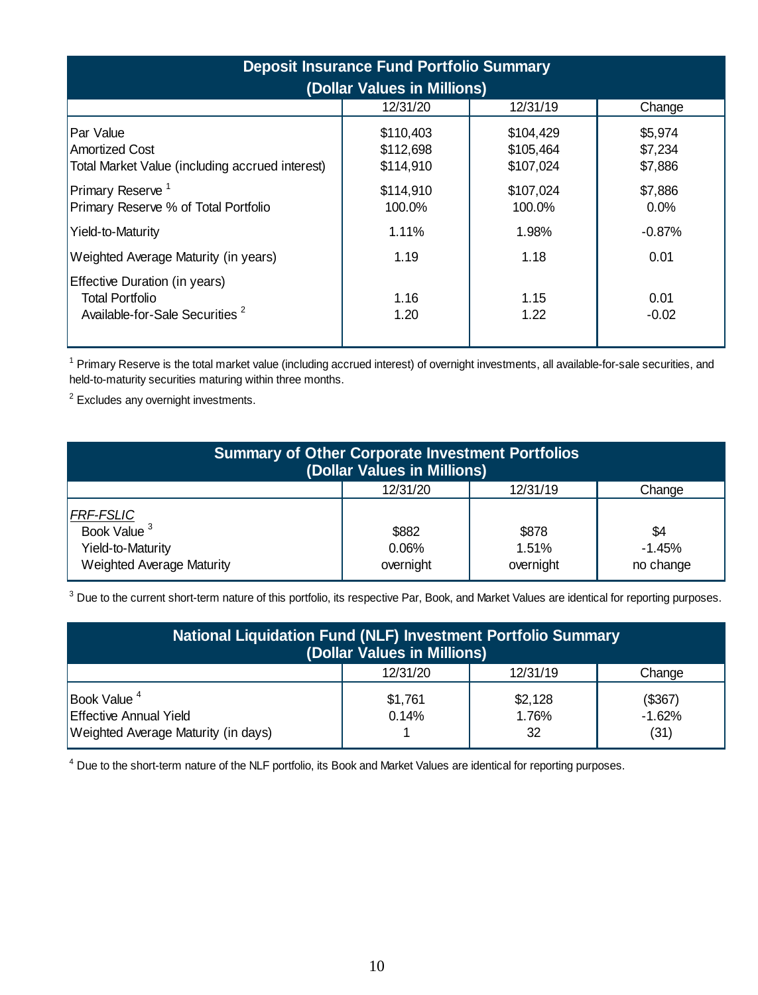| <b>Deposit Insurance Fund Portfolio Summary</b><br>(Dollar Values in Millions)                        |                                     |                                     |                               |  |  |  |  |  |  |  |
|-------------------------------------------------------------------------------------------------------|-------------------------------------|-------------------------------------|-------------------------------|--|--|--|--|--|--|--|
|                                                                                                       | 12/31/20                            | 12/31/19                            | Change                        |  |  |  |  |  |  |  |
| Par Value<br><b>Amortized Cost</b><br>Total Market Value (including accrued interest)                 | \$110,403<br>\$112,698<br>\$114,910 | \$104,429<br>\$105,464<br>\$107,024 | \$5,974<br>\$7,234<br>\$7,886 |  |  |  |  |  |  |  |
| Primary Reserve <sup>1</sup><br>Primary Reserve % of Total Portfolio                                  | \$114,910<br>100.0%                 | \$107,024<br>100.0%                 | \$7,886<br>0.0%               |  |  |  |  |  |  |  |
| Yield-to-Maturity                                                                                     | 1.11%                               | 1.98%                               | $-0.87%$                      |  |  |  |  |  |  |  |
| Weighted Average Maturity (in years)                                                                  | 1.19                                | 1.18                                | 0.01                          |  |  |  |  |  |  |  |
| Effective Duration (in years)<br><b>Total Portfolio</b><br>Available-for-Sale Securities <sup>2</sup> | 1.16<br>1.20                        | 1.15<br>1.22                        | 0.01<br>$-0.02$               |  |  |  |  |  |  |  |

<sup>1</sup> Primary Reserve is the total market value (including accrued interest) of overnight investments, all available-for-sale securities, and held-to-maturity securities maturing within three months.

<sup>2</sup> Excludes any overnight investments.

| <b>Summary of Other Corporate Investment Portfolios</b><br>(Dollar Values in Millions) |                             |                             |                              |  |  |  |  |  |  |  |
|----------------------------------------------------------------------------------------|-----------------------------|-----------------------------|------------------------------|--|--|--|--|--|--|--|
|                                                                                        | 12/31/20                    | 12/31/19                    | Change                       |  |  |  |  |  |  |  |
| FRF-FSLIC<br>Book Value <sup>3</sup><br>Yield-to-Maturity<br>Weighted Average Maturity | \$882<br>0.06%<br>overnight | \$878<br>1.51%<br>overnight | \$4<br>$-1.45%$<br>no change |  |  |  |  |  |  |  |

 $3$  Due to the current short-term nature of this portfolio, its respective Par, Book, and Market Values are identical for reporting purposes.

| <b>National Liquidation Fund (NLF) Investment Portfolio Summary</b><br>(Dollar Values in Millions) |                  |                        |                             |  |  |  |  |  |  |
|----------------------------------------------------------------------------------------------------|------------------|------------------------|-----------------------------|--|--|--|--|--|--|
|                                                                                                    | 12/31/20         | 12/31/19               | Change                      |  |  |  |  |  |  |
| Book Value <sup>4</sup><br><b>Effective Annual Yield</b><br>Weighted Average Maturity (in days)    | \$1,761<br>0.14% | \$2,128<br>1.76%<br>32 | (\$367)<br>$-1.62%$<br>(31) |  |  |  |  |  |  |

<sup>4</sup> Due to the short-term nature of the NLF portfolio, its Book and Market Values are identical for reporting purposes.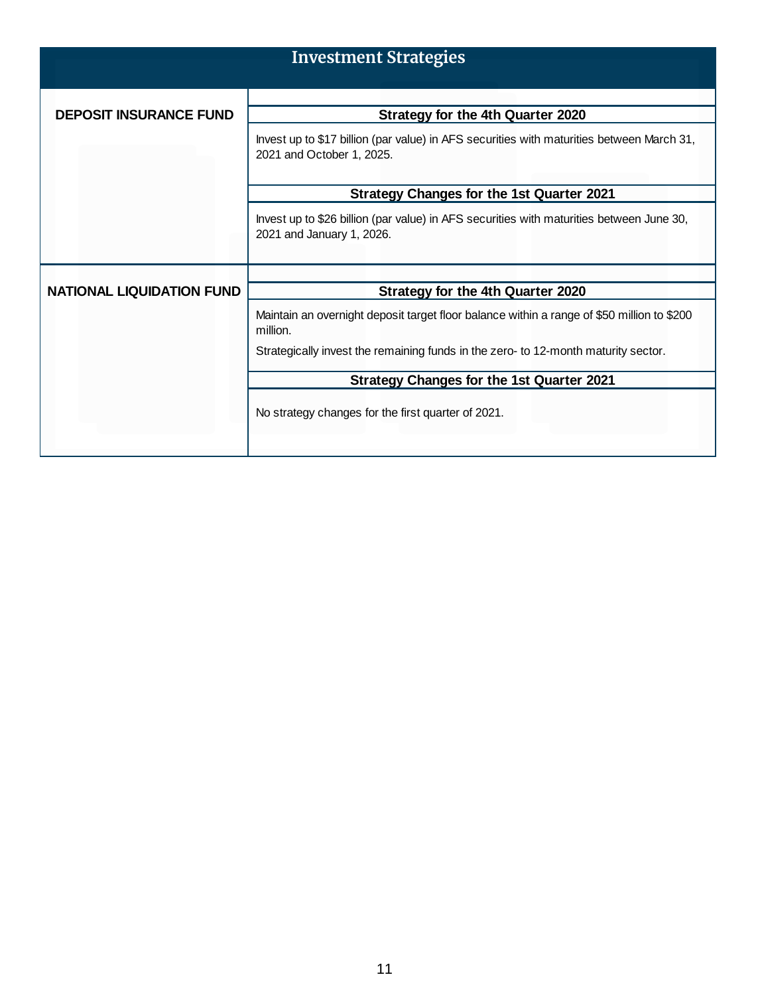|                               | <b>Investment Strategies</b>                                                                                                                                                                 |
|-------------------------------|----------------------------------------------------------------------------------------------------------------------------------------------------------------------------------------------|
| <b>DEPOSIT INSURANCE FUND</b> | <b>Strategy for the 4th Quarter 2020</b>                                                                                                                                                     |
|                               | Invest up to \$17 billion (par value) in AFS securities with maturities between March 31,<br>2021 and October 1, 2025.                                                                       |
|                               | <b>Strategy Changes for the 1st Quarter 2021</b>                                                                                                                                             |
|                               | Invest up to \$26 billion (par value) in AFS securities with maturities between June 30,<br>2021 and January 1, 2026.                                                                        |
| NATIONAL LIQUIDATION FUND     | Strategy for the 4th Quarter 2020                                                                                                                                                            |
|                               | Maintain an overnight deposit target floor balance within a range of \$50 million to \$200<br>million.<br>Strategically invest the remaining funds in the zero- to 12-month maturity sector. |
|                               | <b>Strategy Changes for the 1st Quarter 2021</b>                                                                                                                                             |
|                               | No strategy changes for the first quarter of 2021.                                                                                                                                           |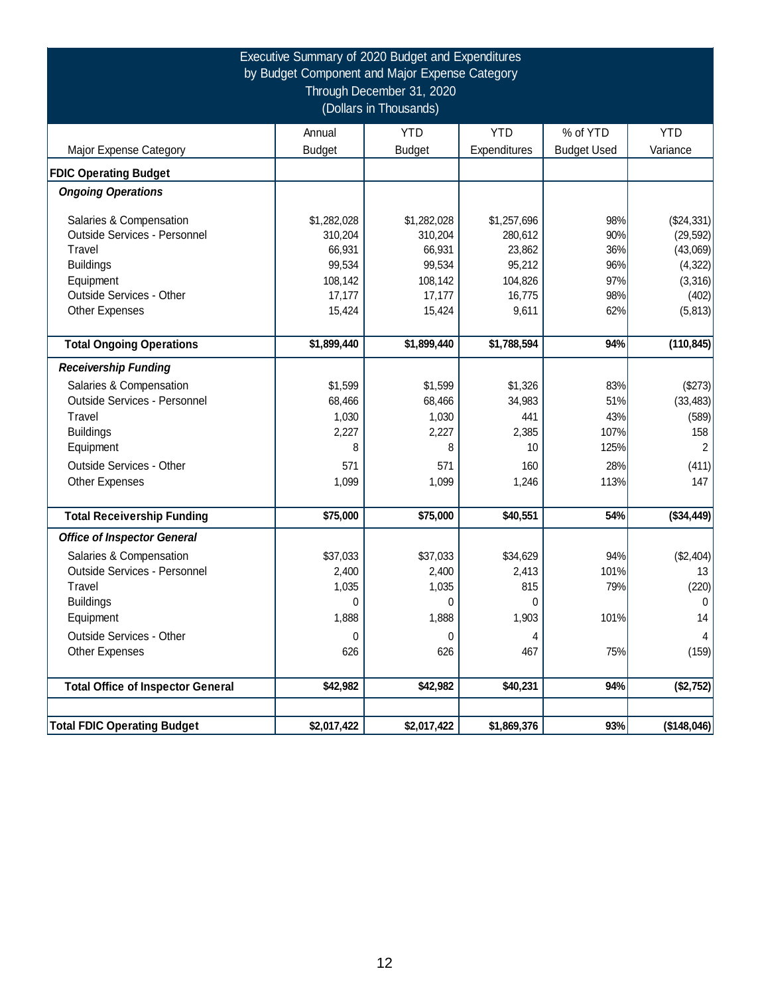|                                          |               | Executive Summary of 2020 Budget and Expenditures<br>by Budget Component and Major Expense Category<br>Through December 31, 2020<br>(Dollars in Thousands) |              |                    |                |
|------------------------------------------|---------------|------------------------------------------------------------------------------------------------------------------------------------------------------------|--------------|--------------------|----------------|
|                                          | Annual        | <b>YTD</b>                                                                                                                                                 | <b>YTD</b>   | % of YTD           | <b>YTD</b>     |
| Major Expense Category                   | <b>Budget</b> | <b>Budget</b>                                                                                                                                              | Expenditures | <b>Budget Used</b> | Variance       |
| <b>FDIC Operating Budget</b>             |               |                                                                                                                                                            |              |                    |                |
| <b>Ongoing Operations</b>                |               |                                                                                                                                                            |              |                    |                |
| Salaries & Compensation                  | \$1,282,028   | \$1,282,028                                                                                                                                                | \$1,257,696  | 98%                | (\$24,331)     |
| Outside Services - Personnel             | 310,204       | 310,204                                                                                                                                                    | 280,612      | 90%                | (29, 592)      |
| Travel                                   | 66,931        | 66,931                                                                                                                                                     | 23,862       | 36%                | (43,069)       |
| <b>Buildings</b>                         | 99,534        | 99,534                                                                                                                                                     | 95,212       | 96%                | (4, 322)       |
| Equipment                                | 108,142       | 108,142                                                                                                                                                    | 104,826      | 97%                | (3, 316)       |
| <b>Outside Services - Other</b>          | 17,177        | 17,177                                                                                                                                                     | 16,775       | 98%                | (402)          |
| <b>Other Expenses</b>                    | 15,424        | 15,424                                                                                                                                                     | 9,611        | 62%                | (5, 813)       |
| <b>Total Ongoing Operations</b>          | \$1,899,440   | \$1,899,440                                                                                                                                                | \$1,788,594  | 94%                | (110, 845)     |
|                                          |               |                                                                                                                                                            |              |                    |                |
| <b>Receivership Funding</b>              |               |                                                                                                                                                            |              |                    |                |
| Salaries & Compensation                  | \$1,599       | \$1,599                                                                                                                                                    | \$1,326      | 83%                | (\$273)        |
| Outside Services - Personnel             | 68,466        | 68,466                                                                                                                                                     | 34,983       | 51%                | (33, 483)      |
| Travel                                   | 1,030         | 1,030                                                                                                                                                      | 441          | 43%                | (589)          |
| <b>Buildings</b>                         | 2,227         | 2,227                                                                                                                                                      | 2,385        | 107%               | 158            |
| Equipment                                | 8             | 8                                                                                                                                                          | 10           | 125%               | $\overline{2}$ |
| <b>Outside Services - Other</b>          | 571           | 571                                                                                                                                                        | 160          | 28%                | (411)          |
| Other Expenses                           | 1,099         | 1,099                                                                                                                                                      | 1,246        | 113%               | 147            |
| <b>Total Receivership Funding</b>        | \$75,000      | \$75,000                                                                                                                                                   | \$40,551     | 54%                | $(*34,449)$    |
| <b>Office of Inspector General</b>       |               |                                                                                                                                                            |              |                    |                |
| Salaries & Compensation                  | \$37,033      | \$37,033                                                                                                                                                   | \$34,629     | 94%                | (\$2,404)      |
| Outside Services - Personnel             | 2,400         | 2,400                                                                                                                                                      | 2,413        | 101%               | 13             |
| Travel                                   | 1,035         | 1,035                                                                                                                                                      | 815          | 79%                | (220)          |
| <b>Buildings</b>                         | $\Omega$      | 0                                                                                                                                                          | 0            |                    | $\mathbf 0$    |
| Equipment                                | 1,888         | 1,888                                                                                                                                                      | 1,903        | 101%               | 14             |
| <b>Outside Services - Other</b>          | 0             | 0                                                                                                                                                          | 4            |                    | 4              |
| <b>Other Expenses</b>                    | 626           | 626                                                                                                                                                        | 467          | 75%                | (159)          |
| <b>Total Office of Inspector General</b> |               | \$42,982                                                                                                                                                   | \$40,231     | 94%                | (\$2,752)      |
|                                          | \$42,982      |                                                                                                                                                            |              |                    |                |
| <b>Total FDIC Operating Budget</b>       | \$2,017,422   | \$2,017,422                                                                                                                                                | \$1,869,376  | 93%                | ( \$148,046)   |